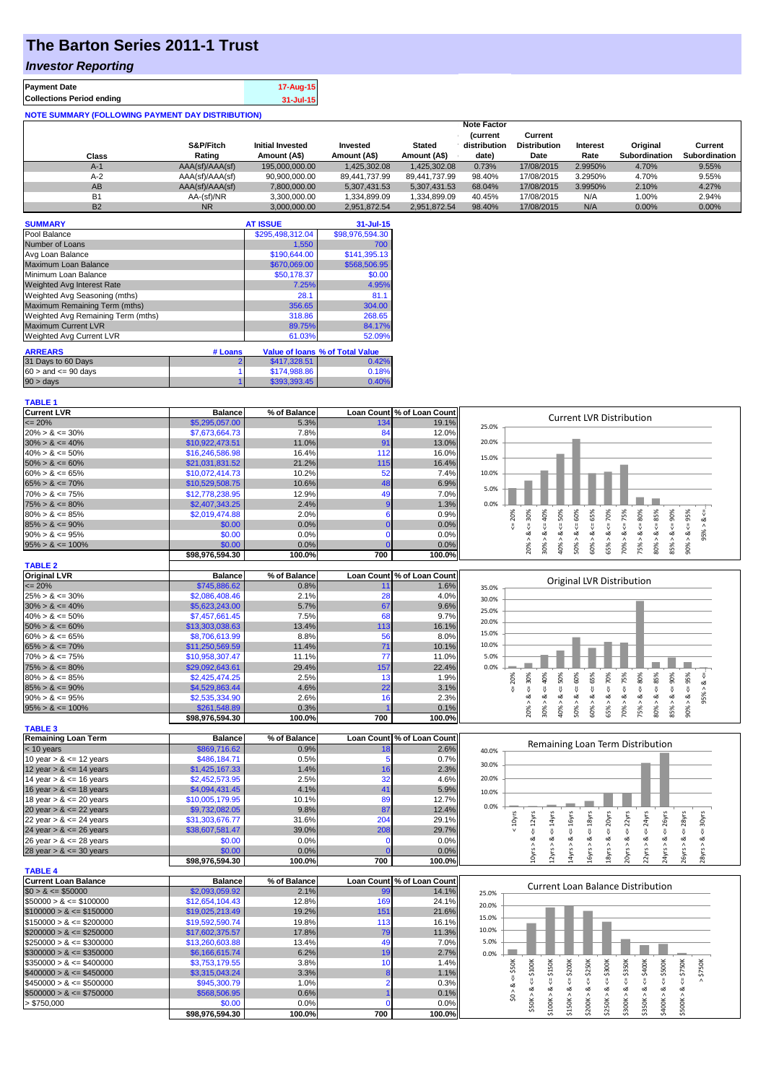## **The Barton Series 2011-1 Trust**

### *Investor Reporting*

|                                  | 17-Aug-15 |
|----------------------------------|-----------|
| <b>Collections Period ending</b> | 31-Jul-15 |

| <b>NOTE SUMMARY (FOLLOWING PAYMENT DAY DISTRIBUTION)</b> |                 |                         |               |               |                                |                                |          |               |                      |
|----------------------------------------------------------|-----------------|-------------------------|---------------|---------------|--------------------------------|--------------------------------|----------|---------------|----------------------|
|                                                          |                 |                         |               |               | <b>Note Factor</b>             |                                |          |               |                      |
|                                                          | S&P/Fitch       | <b>Initial Invested</b> | Invested      | <b>Stated</b> | <b>Current</b><br>distribution | Current<br><b>Distribution</b> | Interest | Original      | Current              |
| Class                                                    | Rating          | Amount (A\$)            | Amount (A\$)  | Amount (A\$)  | date)                          | Date                           | Rate     | Subordination | <b>Subordination</b> |
| $A-1$                                                    | AAA(sf)/AAA(sf) | 195,000,000.00          | 1.425.302.08  | 1,425,302.08  | 0.73%                          | 17/08/2015                     | 2.9950%  | 4.70%         | 9.55%                |
| $A-2$                                                    | AAA(sf)/AAA(sf) | 90,900,000.00           | 89,441,737.99 | 89.441.737.99 | 98.40%                         | 17/08/2015                     | 3.2950%  | 4.70%         | 9.55%                |
| AB                                                       | AAA(sf)/AAA(sf) | 7.800.000.00            | 5.307.431.53  | 5.307.431.53  | 68.04%                         | 17/08/2015                     | 3.9950%  | 2.10%         | 4.27%                |
| <b>B1</b>                                                | AA-(sf)/NR      | 3.300.000.00            | 1.334.899.09  | 1.334.899.09  | 40.45%                         | 17/08/2015                     | N/A      | 1.00%         | 2.94%                |
| <b>B2</b>                                                | <b>NR</b>       | 3.000.000.00            | 2.951.872.54  | 2.951.872.54  | 98.40%                         | 17/08/2015                     | N/A      | 0.00%         | 0.00%                |

| <b>SUMMARY</b>                     |         | <b>AT ISSUE</b>  | $31 -$ Jul-15                   |
|------------------------------------|---------|------------------|---------------------------------|
| Pool Balance                       |         | \$295.498.312.04 | \$98,976,594.30                 |
| Number of Loans                    |         | 1,550            | 700                             |
| Avg Loan Balance                   |         | \$190.644.00     | \$141,395.13                    |
| Maximum Loan Balance               |         | \$670,069.00     | \$568,506.95                    |
| Minimum Loan Balance               |         | \$50,178.37      | \$0.00                          |
| <b>Weighted Avg Interest Rate</b>  |         | 7.25%            | 4.95%                           |
| Weighted Avg Seasoning (mths)      |         | 28.1             | 81.1                            |
| Maximum Remaining Term (mths)      |         | 356.65           | 304.00                          |
| Weighted Avg Remaining Term (mths) |         | 318.86           | 268.65                          |
| <b>Maximum Current LVR</b>         |         | 89.75%           | 84.17%                          |
| Weighted Avg Current LVR           |         | 61.03%           | 52.09%                          |
| <b>ARREARS</b>                     | # Loans |                  | Value of Ioans % of Total Value |
| 31 Days to 60 Days                 |         | \$417,328.51     | 0.42%                           |
| $60 >$ and $\leq 90$ days          |         | \$174,988.86     | 0.18%                           |
| 90 > days                          |         | \$393.393.45     | 0.40%                           |

# **TABLE 1**<br>Current LVR

| \$5,295,057,00<br>5.3%<br>19.1%<br>$\epsilon = 20\%$<br>134<br>25.0%<br>$20\% > 8 \le 30\%$<br>\$7,673,664.73<br>7.8%<br>84<br>12.0%<br>91<br>20.0%<br>$30\% > 8 \le 40\%$<br>\$10,922,473.51<br>11.0%<br>13.0%<br>112<br>$40\% > 8 \le 50\%$<br>\$16,246,586.98<br>16.4%<br>16.0%<br>15.0%<br>21.2%<br>16.4%<br>$50\% > 8 \le 60\%$<br>\$21,031,831.52<br>115<br>52<br>$60\% > 8 \le 65\%$<br>\$10,072,414.73<br>10.2%<br>7.4%<br>10.0%<br>10.6%<br>$65\% > 8 \le 70\%$<br>\$10,529,508.75<br>48<br>6.9%<br>5.0%<br>\$12,778,238.95<br>12.9%<br>49<br>$70\% > 8 \le 75\%$<br>7.0%<br>$75\% > 8 \le 80\%$<br>\$2,407,343.25<br>2.4%<br>1.3%<br>0.0%<br>$4 = 75%$<br>$\leq 80\%$<br>$4 = 85\%$<br>$<=$ 30%<br>40%<br>$<=$ 50%<br>$<= 60\%$<br>$\le 65\%$<br>$4 = 70\%$<br>$85\% > 8 \leq 90\%$<br>$90\% > 8 <= 95\%$<br>20%<br>2.0%<br>6<br>$80\% > 8 \le 85\%$<br>\$2,019,474.88<br>0.9%<br>$\frac{8}{10}$<br>\$0.00<br>0.0%<br>0.0%<br>$85\% > 8 \le 90\%$<br>n<br>95%<br>20% > 8<br>30% > 8.<br>ઌ<br>$\frac{8}{1}$<br>60% > 8<br>ઌ<br>70% > 8.<br>75% > 8.<br>80% > 8<br>$90\% > 8 \le 95\%$<br>\$0.00<br>0.0%<br>$\Omega$<br>0.0%<br>40% ><br>65% ><br>$95\% > 8 \le 100\%$<br>\$0.00<br>0.0%<br>0.0%<br>50%<br>\$98,976,594.30<br>100.0%<br>700<br>100.0%<br><b>TABLE 2</b><br><b>Original LVR</b><br>% of Balance<br>Loan Count % of Loan Count<br><b>Balance</b><br>Original LVR Distribution<br>\$745,886.62<br>$\epsilon = 20\%$<br>0.8%<br>1.6%<br>11<br>35.0%<br>$25\% > 8 \le 30\%$<br>\$2,086,408.46<br>2.1%<br>28<br>4.0%<br>30.0%<br>$30\% > 8 \le 40\%$<br>\$5,623,243.00<br>5.7%<br>67<br>9.6%<br>25.0%<br>$40\% > 8 \le 50\%$<br>\$7,457,661.45<br>7.5%<br>68<br>9.7%<br>20.0%<br>$50\% > 8 \le 60\%$<br>\$13,303,038.63<br>13.4%<br>113<br>16.1%<br>15.0%<br>$60\% > 8 \le 65\%$<br>8.8%<br>56<br>8.0%<br>\$8,706,613.99<br>10.0%<br>$65\% > 8 \le 70\%$<br>\$11,250,569.59<br>11.4%<br>71<br>10.1%<br>5.0%<br>$70\% > 8 \le 75\%$<br>\$10,958,307.47<br>11.1%<br>77<br>11.0%<br>29.4%<br>157<br>22.4%<br>$75\% > 8 \le 80\%$<br>\$29,092,643.61<br>0.0%<br>$> 8 < = 30\%$<br>$50\%$<br>$> 84 < 60\%$<br>$65% > 8 <= 70%$<br>$70\% > 8 <= 75\%$<br>$75\% > 8 <= 80\%$<br>$80\% > 8 <= 85\%$<br>$85% > 8 <= 90%$<br>$90\% > 8 <= 95\%$<br>$4 - 40\%$<br>$60\% > 8 <= 65\%$<br>20%<br>$- > 8 < = 95\%$<br>$80\% > 8 \le 85\%$<br>\$2,425,474.25<br>2.5%<br>13<br>1.9%<br>22<br>$85\% > 8 \le 90\%$<br>\$4,529,863.44<br>4.6%<br>3.1%<br>$30\% > 8$<br>ૐ<br>\$2,535,334.90<br>2.6%<br>16<br>2.3%<br>$90\% > 8 \le 95\%$<br>0.3%<br>$95\% > 8 \le 100\%$<br>\$261,548.89<br>0.1%<br>20%<br>40%<br>50%<br>100.0%<br>700<br>\$98,976,594.30<br>100.0%<br><b>TABLE 3</b><br>Loan Count % of Loan Count<br><b>Remaining Loan Term</b><br>% of Balance<br><b>Balance</b><br>Remaining Loan Term Distribution<br>\$869,716.62<br>0.9%<br>2.6%<br>$<$ 10 years<br>18<br>40.0%<br>\$486,184.71<br>0.5%<br>0.7%<br>10 year $> 8 \le 12$ years<br>5<br>30.0%<br>12 year $> 8 \le 14$ years<br>\$1,425,167.33<br>1.4%<br>2.3%<br>16<br>20.0%<br>14 year $> 8 \le 16$ years<br>\$2,452,573.95<br>2.5%<br>32<br>4.6%<br>16 year $> 8 \le 18$ years<br>\$4,094,431.45<br>4.1%<br>41<br>5.9%<br>10.0%<br>18 year $> 8 \le 20$ years<br>\$10,005,179.95<br>10.1%<br>89<br>12.7%<br>0.0%<br>9.8%<br>20 year $> 8 \le 22$ years<br>\$9,732,082.05<br>87<br>12.4%<br>< 10yrs<br>$\leq$ = 16 $yrs$<br>$\leq$ = 18 $yrs$<br>20yrs<br>22yrs<br>24yrs<br>$x = 26$ yrs<br>$10yrs > 8c = 12yrs$<br>$\le$ = 14 $\gamma$ rs<br>$\epsilon$ = 28 $\gamma$ rs<br>$\epsilon$ = 30 $\gamma$ rs<br>22 year $> 8 \le 24$ years<br>\$31,303,676.77<br>31.6%<br>204<br>29.1%<br>\$38,607,581.47<br>39.0%<br>208<br>29.7%<br>$\frac{11}{2}$<br>$\frac{11}{2}$<br>₹<br>2yrs > 8<br>26 year $> 8 \le 28$ years<br>14yrs > 8<br>18yrs > 8<br>22yrs > 8<br>\$0.00<br>0.0%<br>0.0%<br>16yrs > 8<br>20yrs > 8<br>24yrs > 8<br>26yrs > 8<br>∞<br>$\Omega$<br>\$0.00<br>0.0%<br>0.0%<br>700<br>100.0%<br>\$98,976,594.30<br>100.0%<br>Loan Count % of Loan Count<br><b>Balance</b><br>% of Balance<br><b>Current Loan Balance Distribution</b><br>$$0 > 8 \leq $50000$<br>\$2,093,059.92<br>2.1%<br>14.1%<br>99<br>25.0%<br>\$12,654,104.43<br>12.8%<br>169<br>24.1%<br>20.0%<br>\$19,025,213.49<br>19.2%<br>151<br>21.6%<br>15.0%<br>16.1%<br>\$19,592,590.74<br>19.8%<br>113<br>10.0%<br>17.8%<br>11.3%<br>\$17,602,375.57<br>79<br>\$13,260,603.88<br>13.4%<br>49<br>7.0%<br>5.0%<br>6.2%<br>\$6,166,615.74<br>2.7%<br>19<br>0.0%<br>$$400K > 8 <= $500K$<br>$4 = $350K$<br>$x = $400K$<br>$$50K > 8 <= $100K$<br>$\leq$ = \$150K<br>\$200K<br>\$250K<br>\$300K<br>$$500K > 8 <= $750K$<br>\$750K<br>\$3,753,179.55<br>3.8%<br>10<br>$4 = $50K$<br>1.4%<br>\$3,315,043.24<br>3.3%<br>1.1%<br>8<br>1.0%<br>$\overline{2}$<br>\$945,300.79<br>0.3%<br>\$0 > 8<br>\$350K > 8<br>\$100K > 8<br>\$250K > 8<br>\$300K > 8<br>\$150K > 8<br>\$200K > 8<br>\$568,506.95<br>0.6%<br>0.1%<br>\$0.00<br>0.0%<br>0.0%<br>$\Omega$<br>\$98,976,594.30<br>100.0%<br>700<br>100.0% | <b>Current LVR</b>          | <b>Balance</b> | % of Balance | Loan Count % of Loan Count |                                 |
|-----------------------------------------------------------------------------------------------------------------------------------------------------------------------------------------------------------------------------------------------------------------------------------------------------------------------------------------------------------------------------------------------------------------------------------------------------------------------------------------------------------------------------------------------------------------------------------------------------------------------------------------------------------------------------------------------------------------------------------------------------------------------------------------------------------------------------------------------------------------------------------------------------------------------------------------------------------------------------------------------------------------------------------------------------------------------------------------------------------------------------------------------------------------------------------------------------------------------------------------------------------------------------------------------------------------------------------------------------------------------------------------------------------------------------------------------------------------------------------------------------------------------------------------------------------------------------------------------------------------------------------------------------------------------------------------------------------------------------------------------------------------------------------------------------------------------------------------------------------------------------------------------------------------------------------------------------------------------------------------------------------------------------------------------------------------------------------------------------------------------------------------------------------------------------------------------------------------------------------------------------------------------------------------------------------------------------------------------------------------------------------------------------------------------------------------------------------------------------------------------------------------------------------------------------------------------------------------------------------------------------------------------------------------------------------------------------------------------------------------------------------------------------------------------------------------------------------------------------------------------------------------------------------------------------------------------------------------------------------------------------------------------------------------------------------------------------------------------------------------------------------------------------------------------------------------------------------------------------------------------------------------------------------------------------------------------------------------------------------------------------------------------------------------------------------------------------------------------------------------------------------------------------------------------------------------------------------------------------------------------------------------------------------------------------------------------------------------------------------------------------------------------------------------------------------------------------------------------------------------------------------------------------------------------------------------------------------------------------------------------------------------------------------------------------------------------------------------------------------------------------------------------------------------------------------------------------------------------------------------------------------------------------------------------------------------------------------------------------------------------------------------------------------------------------------------------------------------------------------------------------------------------------------------------------------------------------------------------------------------------------------------------------------------------------------------------------------------------------------------------------------------------------------------------------------------------------------------------------------------------------------------------------------------------------------------------------------------------------------------------------------------------------------------|-----------------------------|----------------|--------------|----------------------------|---------------------------------|
|                                                                                                                                                                                                                                                                                                                                                                                                                                                                                                                                                                                                                                                                                                                                                                                                                                                                                                                                                                                                                                                                                                                                                                                                                                                                                                                                                                                                                                                                                                                                                                                                                                                                                                                                                                                                                                                                                                                                                                                                                                                                                                                                                                                                                                                                                                                                                                                                                                                                                                                                                                                                                                                                                                                                                                                                                                                                                                                                                                                                                                                                                                                                                                                                                                                                                                                                                                                                                                                                                                                                                                                                                                                                                                                                                                                                                                                                                                                                                                                                                                                                                                                                                                                                                                                                                                                                                                                                                                                                                                                                                                                                                                                                                                                                                                                                                                                                                                                                                                                                                                         |                             |                |              |                            | <b>Current LVR Distribution</b> |
|                                                                                                                                                                                                                                                                                                                                                                                                                                                                                                                                                                                                                                                                                                                                                                                                                                                                                                                                                                                                                                                                                                                                                                                                                                                                                                                                                                                                                                                                                                                                                                                                                                                                                                                                                                                                                                                                                                                                                                                                                                                                                                                                                                                                                                                                                                                                                                                                                                                                                                                                                                                                                                                                                                                                                                                                                                                                                                                                                                                                                                                                                                                                                                                                                                                                                                                                                                                                                                                                                                                                                                                                                                                                                                                                                                                                                                                                                                                                                                                                                                                                                                                                                                                                                                                                                                                                                                                                                                                                                                                                                                                                                                                                                                                                                                                                                                                                                                                                                                                                                                         |                             |                |              |                            |                                 |
|                                                                                                                                                                                                                                                                                                                                                                                                                                                                                                                                                                                                                                                                                                                                                                                                                                                                                                                                                                                                                                                                                                                                                                                                                                                                                                                                                                                                                                                                                                                                                                                                                                                                                                                                                                                                                                                                                                                                                                                                                                                                                                                                                                                                                                                                                                                                                                                                                                                                                                                                                                                                                                                                                                                                                                                                                                                                                                                                                                                                                                                                                                                                                                                                                                                                                                                                                                                                                                                                                                                                                                                                                                                                                                                                                                                                                                                                                                                                                                                                                                                                                                                                                                                                                                                                                                                                                                                                                                                                                                                                                                                                                                                                                                                                                                                                                                                                                                                                                                                                                                         |                             |                |              |                            |                                 |
|                                                                                                                                                                                                                                                                                                                                                                                                                                                                                                                                                                                                                                                                                                                                                                                                                                                                                                                                                                                                                                                                                                                                                                                                                                                                                                                                                                                                                                                                                                                                                                                                                                                                                                                                                                                                                                                                                                                                                                                                                                                                                                                                                                                                                                                                                                                                                                                                                                                                                                                                                                                                                                                                                                                                                                                                                                                                                                                                                                                                                                                                                                                                                                                                                                                                                                                                                                                                                                                                                                                                                                                                                                                                                                                                                                                                                                                                                                                                                                                                                                                                                                                                                                                                                                                                                                                                                                                                                                                                                                                                                                                                                                                                                                                                                                                                                                                                                                                                                                                                                                         |                             |                |              |                            |                                 |
|                                                                                                                                                                                                                                                                                                                                                                                                                                                                                                                                                                                                                                                                                                                                                                                                                                                                                                                                                                                                                                                                                                                                                                                                                                                                                                                                                                                                                                                                                                                                                                                                                                                                                                                                                                                                                                                                                                                                                                                                                                                                                                                                                                                                                                                                                                                                                                                                                                                                                                                                                                                                                                                                                                                                                                                                                                                                                                                                                                                                                                                                                                                                                                                                                                                                                                                                                                                                                                                                                                                                                                                                                                                                                                                                                                                                                                                                                                                                                                                                                                                                                                                                                                                                                                                                                                                                                                                                                                                                                                                                                                                                                                                                                                                                                                                                                                                                                                                                                                                                                                         |                             |                |              |                            |                                 |
|                                                                                                                                                                                                                                                                                                                                                                                                                                                                                                                                                                                                                                                                                                                                                                                                                                                                                                                                                                                                                                                                                                                                                                                                                                                                                                                                                                                                                                                                                                                                                                                                                                                                                                                                                                                                                                                                                                                                                                                                                                                                                                                                                                                                                                                                                                                                                                                                                                                                                                                                                                                                                                                                                                                                                                                                                                                                                                                                                                                                                                                                                                                                                                                                                                                                                                                                                                                                                                                                                                                                                                                                                                                                                                                                                                                                                                                                                                                                                                                                                                                                                                                                                                                                                                                                                                                                                                                                                                                                                                                                                                                                                                                                                                                                                                                                                                                                                                                                                                                                                                         |                             |                |              |                            |                                 |
|                                                                                                                                                                                                                                                                                                                                                                                                                                                                                                                                                                                                                                                                                                                                                                                                                                                                                                                                                                                                                                                                                                                                                                                                                                                                                                                                                                                                                                                                                                                                                                                                                                                                                                                                                                                                                                                                                                                                                                                                                                                                                                                                                                                                                                                                                                                                                                                                                                                                                                                                                                                                                                                                                                                                                                                                                                                                                                                                                                                                                                                                                                                                                                                                                                                                                                                                                                                                                                                                                                                                                                                                                                                                                                                                                                                                                                                                                                                                                                                                                                                                                                                                                                                                                                                                                                                                                                                                                                                                                                                                                                                                                                                                                                                                                                                                                                                                                                                                                                                                                                         |                             |                |              |                            |                                 |
|                                                                                                                                                                                                                                                                                                                                                                                                                                                                                                                                                                                                                                                                                                                                                                                                                                                                                                                                                                                                                                                                                                                                                                                                                                                                                                                                                                                                                                                                                                                                                                                                                                                                                                                                                                                                                                                                                                                                                                                                                                                                                                                                                                                                                                                                                                                                                                                                                                                                                                                                                                                                                                                                                                                                                                                                                                                                                                                                                                                                                                                                                                                                                                                                                                                                                                                                                                                                                                                                                                                                                                                                                                                                                                                                                                                                                                                                                                                                                                                                                                                                                                                                                                                                                                                                                                                                                                                                                                                                                                                                                                                                                                                                                                                                                                                                                                                                                                                                                                                                                                         |                             |                |              |                            |                                 |
|                                                                                                                                                                                                                                                                                                                                                                                                                                                                                                                                                                                                                                                                                                                                                                                                                                                                                                                                                                                                                                                                                                                                                                                                                                                                                                                                                                                                                                                                                                                                                                                                                                                                                                                                                                                                                                                                                                                                                                                                                                                                                                                                                                                                                                                                                                                                                                                                                                                                                                                                                                                                                                                                                                                                                                                                                                                                                                                                                                                                                                                                                                                                                                                                                                                                                                                                                                                                                                                                                                                                                                                                                                                                                                                                                                                                                                                                                                                                                                                                                                                                                                                                                                                                                                                                                                                                                                                                                                                                                                                                                                                                                                                                                                                                                                                                                                                                                                                                                                                                                                         |                             |                |              |                            |                                 |
|                                                                                                                                                                                                                                                                                                                                                                                                                                                                                                                                                                                                                                                                                                                                                                                                                                                                                                                                                                                                                                                                                                                                                                                                                                                                                                                                                                                                                                                                                                                                                                                                                                                                                                                                                                                                                                                                                                                                                                                                                                                                                                                                                                                                                                                                                                                                                                                                                                                                                                                                                                                                                                                                                                                                                                                                                                                                                                                                                                                                                                                                                                                                                                                                                                                                                                                                                                                                                                                                                                                                                                                                                                                                                                                                                                                                                                                                                                                                                                                                                                                                                                                                                                                                                                                                                                                                                                                                                                                                                                                                                                                                                                                                                                                                                                                                                                                                                                                                                                                                                                         |                             |                |              |                            |                                 |
|                                                                                                                                                                                                                                                                                                                                                                                                                                                                                                                                                                                                                                                                                                                                                                                                                                                                                                                                                                                                                                                                                                                                                                                                                                                                                                                                                                                                                                                                                                                                                                                                                                                                                                                                                                                                                                                                                                                                                                                                                                                                                                                                                                                                                                                                                                                                                                                                                                                                                                                                                                                                                                                                                                                                                                                                                                                                                                                                                                                                                                                                                                                                                                                                                                                                                                                                                                                                                                                                                                                                                                                                                                                                                                                                                                                                                                                                                                                                                                                                                                                                                                                                                                                                                                                                                                                                                                                                                                                                                                                                                                                                                                                                                                                                                                                                                                                                                                                                                                                                                                         |                             |                |              |                            |                                 |
|                                                                                                                                                                                                                                                                                                                                                                                                                                                                                                                                                                                                                                                                                                                                                                                                                                                                                                                                                                                                                                                                                                                                                                                                                                                                                                                                                                                                                                                                                                                                                                                                                                                                                                                                                                                                                                                                                                                                                                                                                                                                                                                                                                                                                                                                                                                                                                                                                                                                                                                                                                                                                                                                                                                                                                                                                                                                                                                                                                                                                                                                                                                                                                                                                                                                                                                                                                                                                                                                                                                                                                                                                                                                                                                                                                                                                                                                                                                                                                                                                                                                                                                                                                                                                                                                                                                                                                                                                                                                                                                                                                                                                                                                                                                                                                                                                                                                                                                                                                                                                                         |                             |                |              |                            |                                 |
|                                                                                                                                                                                                                                                                                                                                                                                                                                                                                                                                                                                                                                                                                                                                                                                                                                                                                                                                                                                                                                                                                                                                                                                                                                                                                                                                                                                                                                                                                                                                                                                                                                                                                                                                                                                                                                                                                                                                                                                                                                                                                                                                                                                                                                                                                                                                                                                                                                                                                                                                                                                                                                                                                                                                                                                                                                                                                                                                                                                                                                                                                                                                                                                                                                                                                                                                                                                                                                                                                                                                                                                                                                                                                                                                                                                                                                                                                                                                                                                                                                                                                                                                                                                                                                                                                                                                                                                                                                                                                                                                                                                                                                                                                                                                                                                                                                                                                                                                                                                                                                         |                             |                |              |                            |                                 |
|                                                                                                                                                                                                                                                                                                                                                                                                                                                                                                                                                                                                                                                                                                                                                                                                                                                                                                                                                                                                                                                                                                                                                                                                                                                                                                                                                                                                                                                                                                                                                                                                                                                                                                                                                                                                                                                                                                                                                                                                                                                                                                                                                                                                                                                                                                                                                                                                                                                                                                                                                                                                                                                                                                                                                                                                                                                                                                                                                                                                                                                                                                                                                                                                                                                                                                                                                                                                                                                                                                                                                                                                                                                                                                                                                                                                                                                                                                                                                                                                                                                                                                                                                                                                                                                                                                                                                                                                                                                                                                                                                                                                                                                                                                                                                                                                                                                                                                                                                                                                                                         |                             |                |              |                            |                                 |
|                                                                                                                                                                                                                                                                                                                                                                                                                                                                                                                                                                                                                                                                                                                                                                                                                                                                                                                                                                                                                                                                                                                                                                                                                                                                                                                                                                                                                                                                                                                                                                                                                                                                                                                                                                                                                                                                                                                                                                                                                                                                                                                                                                                                                                                                                                                                                                                                                                                                                                                                                                                                                                                                                                                                                                                                                                                                                                                                                                                                                                                                                                                                                                                                                                                                                                                                                                                                                                                                                                                                                                                                                                                                                                                                                                                                                                                                                                                                                                                                                                                                                                                                                                                                                                                                                                                                                                                                                                                                                                                                                                                                                                                                                                                                                                                                                                                                                                                                                                                                                                         |                             |                |              |                            |                                 |
|                                                                                                                                                                                                                                                                                                                                                                                                                                                                                                                                                                                                                                                                                                                                                                                                                                                                                                                                                                                                                                                                                                                                                                                                                                                                                                                                                                                                                                                                                                                                                                                                                                                                                                                                                                                                                                                                                                                                                                                                                                                                                                                                                                                                                                                                                                                                                                                                                                                                                                                                                                                                                                                                                                                                                                                                                                                                                                                                                                                                                                                                                                                                                                                                                                                                                                                                                                                                                                                                                                                                                                                                                                                                                                                                                                                                                                                                                                                                                                                                                                                                                                                                                                                                                                                                                                                                                                                                                                                                                                                                                                                                                                                                                                                                                                                                                                                                                                                                                                                                                                         |                             |                |              |                            |                                 |
|                                                                                                                                                                                                                                                                                                                                                                                                                                                                                                                                                                                                                                                                                                                                                                                                                                                                                                                                                                                                                                                                                                                                                                                                                                                                                                                                                                                                                                                                                                                                                                                                                                                                                                                                                                                                                                                                                                                                                                                                                                                                                                                                                                                                                                                                                                                                                                                                                                                                                                                                                                                                                                                                                                                                                                                                                                                                                                                                                                                                                                                                                                                                                                                                                                                                                                                                                                                                                                                                                                                                                                                                                                                                                                                                                                                                                                                                                                                                                                                                                                                                                                                                                                                                                                                                                                                                                                                                                                                                                                                                                                                                                                                                                                                                                                                                                                                                                                                                                                                                                                         |                             |                |              |                            |                                 |
|                                                                                                                                                                                                                                                                                                                                                                                                                                                                                                                                                                                                                                                                                                                                                                                                                                                                                                                                                                                                                                                                                                                                                                                                                                                                                                                                                                                                                                                                                                                                                                                                                                                                                                                                                                                                                                                                                                                                                                                                                                                                                                                                                                                                                                                                                                                                                                                                                                                                                                                                                                                                                                                                                                                                                                                                                                                                                                                                                                                                                                                                                                                                                                                                                                                                                                                                                                                                                                                                                                                                                                                                                                                                                                                                                                                                                                                                                                                                                                                                                                                                                                                                                                                                                                                                                                                                                                                                                                                                                                                                                                                                                                                                                                                                                                                                                                                                                                                                                                                                                                         |                             |                |              |                            |                                 |
|                                                                                                                                                                                                                                                                                                                                                                                                                                                                                                                                                                                                                                                                                                                                                                                                                                                                                                                                                                                                                                                                                                                                                                                                                                                                                                                                                                                                                                                                                                                                                                                                                                                                                                                                                                                                                                                                                                                                                                                                                                                                                                                                                                                                                                                                                                                                                                                                                                                                                                                                                                                                                                                                                                                                                                                                                                                                                                                                                                                                                                                                                                                                                                                                                                                                                                                                                                                                                                                                                                                                                                                                                                                                                                                                                                                                                                                                                                                                                                                                                                                                                                                                                                                                                                                                                                                                                                                                                                                                                                                                                                                                                                                                                                                                                                                                                                                                                                                                                                                                                                         |                             |                |              |                            |                                 |
|                                                                                                                                                                                                                                                                                                                                                                                                                                                                                                                                                                                                                                                                                                                                                                                                                                                                                                                                                                                                                                                                                                                                                                                                                                                                                                                                                                                                                                                                                                                                                                                                                                                                                                                                                                                                                                                                                                                                                                                                                                                                                                                                                                                                                                                                                                                                                                                                                                                                                                                                                                                                                                                                                                                                                                                                                                                                                                                                                                                                                                                                                                                                                                                                                                                                                                                                                                                                                                                                                                                                                                                                                                                                                                                                                                                                                                                                                                                                                                                                                                                                                                                                                                                                                                                                                                                                                                                                                                                                                                                                                                                                                                                                                                                                                                                                                                                                                                                                                                                                                                         |                             |                |              |                            |                                 |
|                                                                                                                                                                                                                                                                                                                                                                                                                                                                                                                                                                                                                                                                                                                                                                                                                                                                                                                                                                                                                                                                                                                                                                                                                                                                                                                                                                                                                                                                                                                                                                                                                                                                                                                                                                                                                                                                                                                                                                                                                                                                                                                                                                                                                                                                                                                                                                                                                                                                                                                                                                                                                                                                                                                                                                                                                                                                                                                                                                                                                                                                                                                                                                                                                                                                                                                                                                                                                                                                                                                                                                                                                                                                                                                                                                                                                                                                                                                                                                                                                                                                                                                                                                                                                                                                                                                                                                                                                                                                                                                                                                                                                                                                                                                                                                                                                                                                                                                                                                                                                                         |                             |                |              |                            |                                 |
|                                                                                                                                                                                                                                                                                                                                                                                                                                                                                                                                                                                                                                                                                                                                                                                                                                                                                                                                                                                                                                                                                                                                                                                                                                                                                                                                                                                                                                                                                                                                                                                                                                                                                                                                                                                                                                                                                                                                                                                                                                                                                                                                                                                                                                                                                                                                                                                                                                                                                                                                                                                                                                                                                                                                                                                                                                                                                                                                                                                                                                                                                                                                                                                                                                                                                                                                                                                                                                                                                                                                                                                                                                                                                                                                                                                                                                                                                                                                                                                                                                                                                                                                                                                                                                                                                                                                                                                                                                                                                                                                                                                                                                                                                                                                                                                                                                                                                                                                                                                                                                         |                             |                |              |                            |                                 |
|                                                                                                                                                                                                                                                                                                                                                                                                                                                                                                                                                                                                                                                                                                                                                                                                                                                                                                                                                                                                                                                                                                                                                                                                                                                                                                                                                                                                                                                                                                                                                                                                                                                                                                                                                                                                                                                                                                                                                                                                                                                                                                                                                                                                                                                                                                                                                                                                                                                                                                                                                                                                                                                                                                                                                                                                                                                                                                                                                                                                                                                                                                                                                                                                                                                                                                                                                                                                                                                                                                                                                                                                                                                                                                                                                                                                                                                                                                                                                                                                                                                                                                                                                                                                                                                                                                                                                                                                                                                                                                                                                                                                                                                                                                                                                                                                                                                                                                                                                                                                                                         |                             |                |              |                            |                                 |
|                                                                                                                                                                                                                                                                                                                                                                                                                                                                                                                                                                                                                                                                                                                                                                                                                                                                                                                                                                                                                                                                                                                                                                                                                                                                                                                                                                                                                                                                                                                                                                                                                                                                                                                                                                                                                                                                                                                                                                                                                                                                                                                                                                                                                                                                                                                                                                                                                                                                                                                                                                                                                                                                                                                                                                                                                                                                                                                                                                                                                                                                                                                                                                                                                                                                                                                                                                                                                                                                                                                                                                                                                                                                                                                                                                                                                                                                                                                                                                                                                                                                                                                                                                                                                                                                                                                                                                                                                                                                                                                                                                                                                                                                                                                                                                                                                                                                                                                                                                                                                                         |                             |                |              |                            |                                 |
|                                                                                                                                                                                                                                                                                                                                                                                                                                                                                                                                                                                                                                                                                                                                                                                                                                                                                                                                                                                                                                                                                                                                                                                                                                                                                                                                                                                                                                                                                                                                                                                                                                                                                                                                                                                                                                                                                                                                                                                                                                                                                                                                                                                                                                                                                                                                                                                                                                                                                                                                                                                                                                                                                                                                                                                                                                                                                                                                                                                                                                                                                                                                                                                                                                                                                                                                                                                                                                                                                                                                                                                                                                                                                                                                                                                                                                                                                                                                                                                                                                                                                                                                                                                                                                                                                                                                                                                                                                                                                                                                                                                                                                                                                                                                                                                                                                                                                                                                                                                                                                         |                             |                |              |                            |                                 |
|                                                                                                                                                                                                                                                                                                                                                                                                                                                                                                                                                                                                                                                                                                                                                                                                                                                                                                                                                                                                                                                                                                                                                                                                                                                                                                                                                                                                                                                                                                                                                                                                                                                                                                                                                                                                                                                                                                                                                                                                                                                                                                                                                                                                                                                                                                                                                                                                                                                                                                                                                                                                                                                                                                                                                                                                                                                                                                                                                                                                                                                                                                                                                                                                                                                                                                                                                                                                                                                                                                                                                                                                                                                                                                                                                                                                                                                                                                                                                                                                                                                                                                                                                                                                                                                                                                                                                                                                                                                                                                                                                                                                                                                                                                                                                                                                                                                                                                                                                                                                                                         |                             |                |              |                            |                                 |
|                                                                                                                                                                                                                                                                                                                                                                                                                                                                                                                                                                                                                                                                                                                                                                                                                                                                                                                                                                                                                                                                                                                                                                                                                                                                                                                                                                                                                                                                                                                                                                                                                                                                                                                                                                                                                                                                                                                                                                                                                                                                                                                                                                                                                                                                                                                                                                                                                                                                                                                                                                                                                                                                                                                                                                                                                                                                                                                                                                                                                                                                                                                                                                                                                                                                                                                                                                                                                                                                                                                                                                                                                                                                                                                                                                                                                                                                                                                                                                                                                                                                                                                                                                                                                                                                                                                                                                                                                                                                                                                                                                                                                                                                                                                                                                                                                                                                                                                                                                                                                                         |                             |                |              |                            |                                 |
|                                                                                                                                                                                                                                                                                                                                                                                                                                                                                                                                                                                                                                                                                                                                                                                                                                                                                                                                                                                                                                                                                                                                                                                                                                                                                                                                                                                                                                                                                                                                                                                                                                                                                                                                                                                                                                                                                                                                                                                                                                                                                                                                                                                                                                                                                                                                                                                                                                                                                                                                                                                                                                                                                                                                                                                                                                                                                                                                                                                                                                                                                                                                                                                                                                                                                                                                                                                                                                                                                                                                                                                                                                                                                                                                                                                                                                                                                                                                                                                                                                                                                                                                                                                                                                                                                                                                                                                                                                                                                                                                                                                                                                                                                                                                                                                                                                                                                                                                                                                                                                         |                             |                |              |                            |                                 |
|                                                                                                                                                                                                                                                                                                                                                                                                                                                                                                                                                                                                                                                                                                                                                                                                                                                                                                                                                                                                                                                                                                                                                                                                                                                                                                                                                                                                                                                                                                                                                                                                                                                                                                                                                                                                                                                                                                                                                                                                                                                                                                                                                                                                                                                                                                                                                                                                                                                                                                                                                                                                                                                                                                                                                                                                                                                                                                                                                                                                                                                                                                                                                                                                                                                                                                                                                                                                                                                                                                                                                                                                                                                                                                                                                                                                                                                                                                                                                                                                                                                                                                                                                                                                                                                                                                                                                                                                                                                                                                                                                                                                                                                                                                                                                                                                                                                                                                                                                                                                                                         |                             |                |              |                            |                                 |
|                                                                                                                                                                                                                                                                                                                                                                                                                                                                                                                                                                                                                                                                                                                                                                                                                                                                                                                                                                                                                                                                                                                                                                                                                                                                                                                                                                                                                                                                                                                                                                                                                                                                                                                                                                                                                                                                                                                                                                                                                                                                                                                                                                                                                                                                                                                                                                                                                                                                                                                                                                                                                                                                                                                                                                                                                                                                                                                                                                                                                                                                                                                                                                                                                                                                                                                                                                                                                                                                                                                                                                                                                                                                                                                                                                                                                                                                                                                                                                                                                                                                                                                                                                                                                                                                                                                                                                                                                                                                                                                                                                                                                                                                                                                                                                                                                                                                                                                                                                                                                                         |                             |                |              |                            |                                 |
|                                                                                                                                                                                                                                                                                                                                                                                                                                                                                                                                                                                                                                                                                                                                                                                                                                                                                                                                                                                                                                                                                                                                                                                                                                                                                                                                                                                                                                                                                                                                                                                                                                                                                                                                                                                                                                                                                                                                                                                                                                                                                                                                                                                                                                                                                                                                                                                                                                                                                                                                                                                                                                                                                                                                                                                                                                                                                                                                                                                                                                                                                                                                                                                                                                                                                                                                                                                                                                                                                                                                                                                                                                                                                                                                                                                                                                                                                                                                                                                                                                                                                                                                                                                                                                                                                                                                                                                                                                                                                                                                                                                                                                                                                                                                                                                                                                                                                                                                                                                                                                         |                             |                |              |                            |                                 |
|                                                                                                                                                                                                                                                                                                                                                                                                                                                                                                                                                                                                                                                                                                                                                                                                                                                                                                                                                                                                                                                                                                                                                                                                                                                                                                                                                                                                                                                                                                                                                                                                                                                                                                                                                                                                                                                                                                                                                                                                                                                                                                                                                                                                                                                                                                                                                                                                                                                                                                                                                                                                                                                                                                                                                                                                                                                                                                                                                                                                                                                                                                                                                                                                                                                                                                                                                                                                                                                                                                                                                                                                                                                                                                                                                                                                                                                                                                                                                                                                                                                                                                                                                                                                                                                                                                                                                                                                                                                                                                                                                                                                                                                                                                                                                                                                                                                                                                                                                                                                                                         |                             |                |              |                            |                                 |
|                                                                                                                                                                                                                                                                                                                                                                                                                                                                                                                                                                                                                                                                                                                                                                                                                                                                                                                                                                                                                                                                                                                                                                                                                                                                                                                                                                                                                                                                                                                                                                                                                                                                                                                                                                                                                                                                                                                                                                                                                                                                                                                                                                                                                                                                                                                                                                                                                                                                                                                                                                                                                                                                                                                                                                                                                                                                                                                                                                                                                                                                                                                                                                                                                                                                                                                                                                                                                                                                                                                                                                                                                                                                                                                                                                                                                                                                                                                                                                                                                                                                                                                                                                                                                                                                                                                                                                                                                                                                                                                                                                                                                                                                                                                                                                                                                                                                                                                                                                                                                                         |                             |                |              |                            |                                 |
|                                                                                                                                                                                                                                                                                                                                                                                                                                                                                                                                                                                                                                                                                                                                                                                                                                                                                                                                                                                                                                                                                                                                                                                                                                                                                                                                                                                                                                                                                                                                                                                                                                                                                                                                                                                                                                                                                                                                                                                                                                                                                                                                                                                                                                                                                                                                                                                                                                                                                                                                                                                                                                                                                                                                                                                                                                                                                                                                                                                                                                                                                                                                                                                                                                                                                                                                                                                                                                                                                                                                                                                                                                                                                                                                                                                                                                                                                                                                                                                                                                                                                                                                                                                                                                                                                                                                                                                                                                                                                                                                                                                                                                                                                                                                                                                                                                                                                                                                                                                                                                         |                             |                |              |                            |                                 |
|                                                                                                                                                                                                                                                                                                                                                                                                                                                                                                                                                                                                                                                                                                                                                                                                                                                                                                                                                                                                                                                                                                                                                                                                                                                                                                                                                                                                                                                                                                                                                                                                                                                                                                                                                                                                                                                                                                                                                                                                                                                                                                                                                                                                                                                                                                                                                                                                                                                                                                                                                                                                                                                                                                                                                                                                                                                                                                                                                                                                                                                                                                                                                                                                                                                                                                                                                                                                                                                                                                                                                                                                                                                                                                                                                                                                                                                                                                                                                                                                                                                                                                                                                                                                                                                                                                                                                                                                                                                                                                                                                                                                                                                                                                                                                                                                                                                                                                                                                                                                                                         |                             |                |              |                            |                                 |
|                                                                                                                                                                                                                                                                                                                                                                                                                                                                                                                                                                                                                                                                                                                                                                                                                                                                                                                                                                                                                                                                                                                                                                                                                                                                                                                                                                                                                                                                                                                                                                                                                                                                                                                                                                                                                                                                                                                                                                                                                                                                                                                                                                                                                                                                                                                                                                                                                                                                                                                                                                                                                                                                                                                                                                                                                                                                                                                                                                                                                                                                                                                                                                                                                                                                                                                                                                                                                                                                                                                                                                                                                                                                                                                                                                                                                                                                                                                                                                                                                                                                                                                                                                                                                                                                                                                                                                                                                                                                                                                                                                                                                                                                                                                                                                                                                                                                                                                                                                                                                                         |                             |                |              |                            |                                 |
|                                                                                                                                                                                                                                                                                                                                                                                                                                                                                                                                                                                                                                                                                                                                                                                                                                                                                                                                                                                                                                                                                                                                                                                                                                                                                                                                                                                                                                                                                                                                                                                                                                                                                                                                                                                                                                                                                                                                                                                                                                                                                                                                                                                                                                                                                                                                                                                                                                                                                                                                                                                                                                                                                                                                                                                                                                                                                                                                                                                                                                                                                                                                                                                                                                                                                                                                                                                                                                                                                                                                                                                                                                                                                                                                                                                                                                                                                                                                                                                                                                                                                                                                                                                                                                                                                                                                                                                                                                                                                                                                                                                                                                                                                                                                                                                                                                                                                                                                                                                                                                         |                             |                |              |                            |                                 |
|                                                                                                                                                                                                                                                                                                                                                                                                                                                                                                                                                                                                                                                                                                                                                                                                                                                                                                                                                                                                                                                                                                                                                                                                                                                                                                                                                                                                                                                                                                                                                                                                                                                                                                                                                                                                                                                                                                                                                                                                                                                                                                                                                                                                                                                                                                                                                                                                                                                                                                                                                                                                                                                                                                                                                                                                                                                                                                                                                                                                                                                                                                                                                                                                                                                                                                                                                                                                                                                                                                                                                                                                                                                                                                                                                                                                                                                                                                                                                                                                                                                                                                                                                                                                                                                                                                                                                                                                                                                                                                                                                                                                                                                                                                                                                                                                                                                                                                                                                                                                                                         |                             |                |              |                            |                                 |
|                                                                                                                                                                                                                                                                                                                                                                                                                                                                                                                                                                                                                                                                                                                                                                                                                                                                                                                                                                                                                                                                                                                                                                                                                                                                                                                                                                                                                                                                                                                                                                                                                                                                                                                                                                                                                                                                                                                                                                                                                                                                                                                                                                                                                                                                                                                                                                                                                                                                                                                                                                                                                                                                                                                                                                                                                                                                                                                                                                                                                                                                                                                                                                                                                                                                                                                                                                                                                                                                                                                                                                                                                                                                                                                                                                                                                                                                                                                                                                                                                                                                                                                                                                                                                                                                                                                                                                                                                                                                                                                                                                                                                                                                                                                                                                                                                                                                                                                                                                                                                                         |                             |                |              |                            |                                 |
|                                                                                                                                                                                                                                                                                                                                                                                                                                                                                                                                                                                                                                                                                                                                                                                                                                                                                                                                                                                                                                                                                                                                                                                                                                                                                                                                                                                                                                                                                                                                                                                                                                                                                                                                                                                                                                                                                                                                                                                                                                                                                                                                                                                                                                                                                                                                                                                                                                                                                                                                                                                                                                                                                                                                                                                                                                                                                                                                                                                                                                                                                                                                                                                                                                                                                                                                                                                                                                                                                                                                                                                                                                                                                                                                                                                                                                                                                                                                                                                                                                                                                                                                                                                                                                                                                                                                                                                                                                                                                                                                                                                                                                                                                                                                                                                                                                                                                                                                                                                                                                         |                             |                |              |                            |                                 |
|                                                                                                                                                                                                                                                                                                                                                                                                                                                                                                                                                                                                                                                                                                                                                                                                                                                                                                                                                                                                                                                                                                                                                                                                                                                                                                                                                                                                                                                                                                                                                                                                                                                                                                                                                                                                                                                                                                                                                                                                                                                                                                                                                                                                                                                                                                                                                                                                                                                                                                                                                                                                                                                                                                                                                                                                                                                                                                                                                                                                                                                                                                                                                                                                                                                                                                                                                                                                                                                                                                                                                                                                                                                                                                                                                                                                                                                                                                                                                                                                                                                                                                                                                                                                                                                                                                                                                                                                                                                                                                                                                                                                                                                                                                                                                                                                                                                                                                                                                                                                                                         |                             |                |              |                            |                                 |
|                                                                                                                                                                                                                                                                                                                                                                                                                                                                                                                                                                                                                                                                                                                                                                                                                                                                                                                                                                                                                                                                                                                                                                                                                                                                                                                                                                                                                                                                                                                                                                                                                                                                                                                                                                                                                                                                                                                                                                                                                                                                                                                                                                                                                                                                                                                                                                                                                                                                                                                                                                                                                                                                                                                                                                                                                                                                                                                                                                                                                                                                                                                                                                                                                                                                                                                                                                                                                                                                                                                                                                                                                                                                                                                                                                                                                                                                                                                                                                                                                                                                                                                                                                                                                                                                                                                                                                                                                                                                                                                                                                                                                                                                                                                                                                                                                                                                                                                                                                                                                                         | 24 year $> 8 \le 26$ years  |                |              |                            |                                 |
|                                                                                                                                                                                                                                                                                                                                                                                                                                                                                                                                                                                                                                                                                                                                                                                                                                                                                                                                                                                                                                                                                                                                                                                                                                                                                                                                                                                                                                                                                                                                                                                                                                                                                                                                                                                                                                                                                                                                                                                                                                                                                                                                                                                                                                                                                                                                                                                                                                                                                                                                                                                                                                                                                                                                                                                                                                                                                                                                                                                                                                                                                                                                                                                                                                                                                                                                                                                                                                                                                                                                                                                                                                                                                                                                                                                                                                                                                                                                                                                                                                                                                                                                                                                                                                                                                                                                                                                                                                                                                                                                                                                                                                                                                                                                                                                                                                                                                                                                                                                                                                         |                             |                |              |                            |                                 |
|                                                                                                                                                                                                                                                                                                                                                                                                                                                                                                                                                                                                                                                                                                                                                                                                                                                                                                                                                                                                                                                                                                                                                                                                                                                                                                                                                                                                                                                                                                                                                                                                                                                                                                                                                                                                                                                                                                                                                                                                                                                                                                                                                                                                                                                                                                                                                                                                                                                                                                                                                                                                                                                                                                                                                                                                                                                                                                                                                                                                                                                                                                                                                                                                                                                                                                                                                                                                                                                                                                                                                                                                                                                                                                                                                                                                                                                                                                                                                                                                                                                                                                                                                                                                                                                                                                                                                                                                                                                                                                                                                                                                                                                                                                                                                                                                                                                                                                                                                                                                                                         | 28 year $> 8 \le 30$ years  |                |              |                            |                                 |
|                                                                                                                                                                                                                                                                                                                                                                                                                                                                                                                                                                                                                                                                                                                                                                                                                                                                                                                                                                                                                                                                                                                                                                                                                                                                                                                                                                                                                                                                                                                                                                                                                                                                                                                                                                                                                                                                                                                                                                                                                                                                                                                                                                                                                                                                                                                                                                                                                                                                                                                                                                                                                                                                                                                                                                                                                                                                                                                                                                                                                                                                                                                                                                                                                                                                                                                                                                                                                                                                                                                                                                                                                                                                                                                                                                                                                                                                                                                                                                                                                                                                                                                                                                                                                                                                                                                                                                                                                                                                                                                                                                                                                                                                                                                                                                                                                                                                                                                                                                                                                                         |                             |                |              |                            |                                 |
|                                                                                                                                                                                                                                                                                                                                                                                                                                                                                                                                                                                                                                                                                                                                                                                                                                                                                                                                                                                                                                                                                                                                                                                                                                                                                                                                                                                                                                                                                                                                                                                                                                                                                                                                                                                                                                                                                                                                                                                                                                                                                                                                                                                                                                                                                                                                                                                                                                                                                                                                                                                                                                                                                                                                                                                                                                                                                                                                                                                                                                                                                                                                                                                                                                                                                                                                                                                                                                                                                                                                                                                                                                                                                                                                                                                                                                                                                                                                                                                                                                                                                                                                                                                                                                                                                                                                                                                                                                                                                                                                                                                                                                                                                                                                                                                                                                                                                                                                                                                                                                         | <b>TABLE 4</b>              |                |              |                            |                                 |
|                                                                                                                                                                                                                                                                                                                                                                                                                                                                                                                                                                                                                                                                                                                                                                                                                                                                                                                                                                                                                                                                                                                                                                                                                                                                                                                                                                                                                                                                                                                                                                                                                                                                                                                                                                                                                                                                                                                                                                                                                                                                                                                                                                                                                                                                                                                                                                                                                                                                                                                                                                                                                                                                                                                                                                                                                                                                                                                                                                                                                                                                                                                                                                                                                                                                                                                                                                                                                                                                                                                                                                                                                                                                                                                                                                                                                                                                                                                                                                                                                                                                                                                                                                                                                                                                                                                                                                                                                                                                                                                                                                                                                                                                                                                                                                                                                                                                                                                                                                                                                                         | <b>Current Loan Balance</b> |                |              |                            |                                 |
|                                                                                                                                                                                                                                                                                                                                                                                                                                                                                                                                                                                                                                                                                                                                                                                                                                                                                                                                                                                                                                                                                                                                                                                                                                                                                                                                                                                                                                                                                                                                                                                                                                                                                                                                                                                                                                                                                                                                                                                                                                                                                                                                                                                                                                                                                                                                                                                                                                                                                                                                                                                                                                                                                                                                                                                                                                                                                                                                                                                                                                                                                                                                                                                                                                                                                                                                                                                                                                                                                                                                                                                                                                                                                                                                                                                                                                                                                                                                                                                                                                                                                                                                                                                                                                                                                                                                                                                                                                                                                                                                                                                                                                                                                                                                                                                                                                                                                                                                                                                                                                         |                             |                |              |                            |                                 |
|                                                                                                                                                                                                                                                                                                                                                                                                                                                                                                                                                                                                                                                                                                                                                                                                                                                                                                                                                                                                                                                                                                                                                                                                                                                                                                                                                                                                                                                                                                                                                                                                                                                                                                                                                                                                                                                                                                                                                                                                                                                                                                                                                                                                                                                                                                                                                                                                                                                                                                                                                                                                                                                                                                                                                                                                                                                                                                                                                                                                                                                                                                                                                                                                                                                                                                                                                                                                                                                                                                                                                                                                                                                                                                                                                                                                                                                                                                                                                                                                                                                                                                                                                                                                                                                                                                                                                                                                                                                                                                                                                                                                                                                                                                                                                                                                                                                                                                                                                                                                                                         | $$50000 > 8 \le $100000$    |                |              |                            |                                 |
|                                                                                                                                                                                                                                                                                                                                                                                                                                                                                                                                                                                                                                                                                                                                                                                                                                                                                                                                                                                                                                                                                                                                                                                                                                                                                                                                                                                                                                                                                                                                                                                                                                                                                                                                                                                                                                                                                                                                                                                                                                                                                                                                                                                                                                                                                                                                                                                                                                                                                                                                                                                                                                                                                                                                                                                                                                                                                                                                                                                                                                                                                                                                                                                                                                                                                                                                                                                                                                                                                                                                                                                                                                                                                                                                                                                                                                                                                                                                                                                                                                                                                                                                                                                                                                                                                                                                                                                                                                                                                                                                                                                                                                                                                                                                                                                                                                                                                                                                                                                                                                         | $$100000 > 8 \leq $150000$  |                |              |                            |                                 |
|                                                                                                                                                                                                                                                                                                                                                                                                                                                                                                                                                                                                                                                                                                                                                                                                                                                                                                                                                                                                                                                                                                                                                                                                                                                                                                                                                                                                                                                                                                                                                                                                                                                                                                                                                                                                                                                                                                                                                                                                                                                                                                                                                                                                                                                                                                                                                                                                                                                                                                                                                                                                                                                                                                                                                                                                                                                                                                                                                                                                                                                                                                                                                                                                                                                                                                                                                                                                                                                                                                                                                                                                                                                                                                                                                                                                                                                                                                                                                                                                                                                                                                                                                                                                                                                                                                                                                                                                                                                                                                                                                                                                                                                                                                                                                                                                                                                                                                                                                                                                                                         | $$150000 > 8 \leq $200000$  |                |              |                            |                                 |
|                                                                                                                                                                                                                                                                                                                                                                                                                                                                                                                                                                                                                                                                                                                                                                                                                                                                                                                                                                                                                                                                                                                                                                                                                                                                                                                                                                                                                                                                                                                                                                                                                                                                                                                                                                                                                                                                                                                                                                                                                                                                                                                                                                                                                                                                                                                                                                                                                                                                                                                                                                                                                                                                                                                                                                                                                                                                                                                                                                                                                                                                                                                                                                                                                                                                                                                                                                                                                                                                                                                                                                                                                                                                                                                                                                                                                                                                                                                                                                                                                                                                                                                                                                                                                                                                                                                                                                                                                                                                                                                                                                                                                                                                                                                                                                                                                                                                                                                                                                                                                                         | $$200000 > 8 \leq $250000$  |                |              |                            |                                 |
|                                                                                                                                                                                                                                                                                                                                                                                                                                                                                                                                                                                                                                                                                                                                                                                                                                                                                                                                                                                                                                                                                                                                                                                                                                                                                                                                                                                                                                                                                                                                                                                                                                                                                                                                                                                                                                                                                                                                                                                                                                                                                                                                                                                                                                                                                                                                                                                                                                                                                                                                                                                                                                                                                                                                                                                                                                                                                                                                                                                                                                                                                                                                                                                                                                                                                                                                                                                                                                                                                                                                                                                                                                                                                                                                                                                                                                                                                                                                                                                                                                                                                                                                                                                                                                                                                                                                                                                                                                                                                                                                                                                                                                                                                                                                                                                                                                                                                                                                                                                                                                         | $$250000 > 8 \leq $300000$  |                |              |                            |                                 |
|                                                                                                                                                                                                                                                                                                                                                                                                                                                                                                                                                                                                                                                                                                                                                                                                                                                                                                                                                                                                                                                                                                                                                                                                                                                                                                                                                                                                                                                                                                                                                                                                                                                                                                                                                                                                                                                                                                                                                                                                                                                                                                                                                                                                                                                                                                                                                                                                                                                                                                                                                                                                                                                                                                                                                                                                                                                                                                                                                                                                                                                                                                                                                                                                                                                                                                                                                                                                                                                                                                                                                                                                                                                                                                                                                                                                                                                                                                                                                                                                                                                                                                                                                                                                                                                                                                                                                                                                                                                                                                                                                                                                                                                                                                                                                                                                                                                                                                                                                                                                                                         | $$300000 > 8 \leq $350000$  |                |              |                            |                                 |
|                                                                                                                                                                                                                                                                                                                                                                                                                                                                                                                                                                                                                                                                                                                                                                                                                                                                                                                                                                                                                                                                                                                                                                                                                                                                                                                                                                                                                                                                                                                                                                                                                                                                                                                                                                                                                                                                                                                                                                                                                                                                                                                                                                                                                                                                                                                                                                                                                                                                                                                                                                                                                                                                                                                                                                                                                                                                                                                                                                                                                                                                                                                                                                                                                                                                                                                                                                                                                                                                                                                                                                                                                                                                                                                                                                                                                                                                                                                                                                                                                                                                                                                                                                                                                                                                                                                                                                                                                                                                                                                                                                                                                                                                                                                                                                                                                                                                                                                                                                                                                                         | $$350000 > 8 \leq $400000$  |                |              |                            |                                 |
|                                                                                                                                                                                                                                                                                                                                                                                                                                                                                                                                                                                                                                                                                                                                                                                                                                                                                                                                                                                                                                                                                                                                                                                                                                                                                                                                                                                                                                                                                                                                                                                                                                                                                                                                                                                                                                                                                                                                                                                                                                                                                                                                                                                                                                                                                                                                                                                                                                                                                                                                                                                                                                                                                                                                                                                                                                                                                                                                                                                                                                                                                                                                                                                                                                                                                                                                                                                                                                                                                                                                                                                                                                                                                                                                                                                                                                                                                                                                                                                                                                                                                                                                                                                                                                                                                                                                                                                                                                                                                                                                                                                                                                                                                                                                                                                                                                                                                                                                                                                                                                         | $$400000 > 8 \leq $450000$  |                |              |                            |                                 |
|                                                                                                                                                                                                                                                                                                                                                                                                                                                                                                                                                                                                                                                                                                                                                                                                                                                                                                                                                                                                                                                                                                                                                                                                                                                                                                                                                                                                                                                                                                                                                                                                                                                                                                                                                                                                                                                                                                                                                                                                                                                                                                                                                                                                                                                                                                                                                                                                                                                                                                                                                                                                                                                                                                                                                                                                                                                                                                                                                                                                                                                                                                                                                                                                                                                                                                                                                                                                                                                                                                                                                                                                                                                                                                                                                                                                                                                                                                                                                                                                                                                                                                                                                                                                                                                                                                                                                                                                                                                                                                                                                                                                                                                                                                                                                                                                                                                                                                                                                                                                                                         | $$450000 > 8 \leq $500000$  |                |              |                            |                                 |
|                                                                                                                                                                                                                                                                                                                                                                                                                                                                                                                                                                                                                                                                                                                                                                                                                                                                                                                                                                                                                                                                                                                                                                                                                                                                                                                                                                                                                                                                                                                                                                                                                                                                                                                                                                                                                                                                                                                                                                                                                                                                                                                                                                                                                                                                                                                                                                                                                                                                                                                                                                                                                                                                                                                                                                                                                                                                                                                                                                                                                                                                                                                                                                                                                                                                                                                                                                                                                                                                                                                                                                                                                                                                                                                                                                                                                                                                                                                                                                                                                                                                                                                                                                                                                                                                                                                                                                                                                                                                                                                                                                                                                                                                                                                                                                                                                                                                                                                                                                                                                                         | $$500000 > 8 \leq $750000$  |                |              |                            |                                 |
|                                                                                                                                                                                                                                                                                                                                                                                                                                                                                                                                                                                                                                                                                                                                                                                                                                                                                                                                                                                                                                                                                                                                                                                                                                                                                                                                                                                                                                                                                                                                                                                                                                                                                                                                                                                                                                                                                                                                                                                                                                                                                                                                                                                                                                                                                                                                                                                                                                                                                                                                                                                                                                                                                                                                                                                                                                                                                                                                                                                                                                                                                                                                                                                                                                                                                                                                                                                                                                                                                                                                                                                                                                                                                                                                                                                                                                                                                                                                                                                                                                                                                                                                                                                                                                                                                                                                                                                                                                                                                                                                                                                                                                                                                                                                                                                                                                                                                                                                                                                                                                         | > \$750,000                 |                |              |                            |                                 |
|                                                                                                                                                                                                                                                                                                                                                                                                                                                                                                                                                                                                                                                                                                                                                                                                                                                                                                                                                                                                                                                                                                                                                                                                                                                                                                                                                                                                                                                                                                                                                                                                                                                                                                                                                                                                                                                                                                                                                                                                                                                                                                                                                                                                                                                                                                                                                                                                                                                                                                                                                                                                                                                                                                                                                                                                                                                                                                                                                                                                                                                                                                                                                                                                                                                                                                                                                                                                                                                                                                                                                                                                                                                                                                                                                                                                                                                                                                                                                                                                                                                                                                                                                                                                                                                                                                                                                                                                                                                                                                                                                                                                                                                                                                                                                                                                                                                                                                                                                                                                                                         |                             |                |              |                            |                                 |